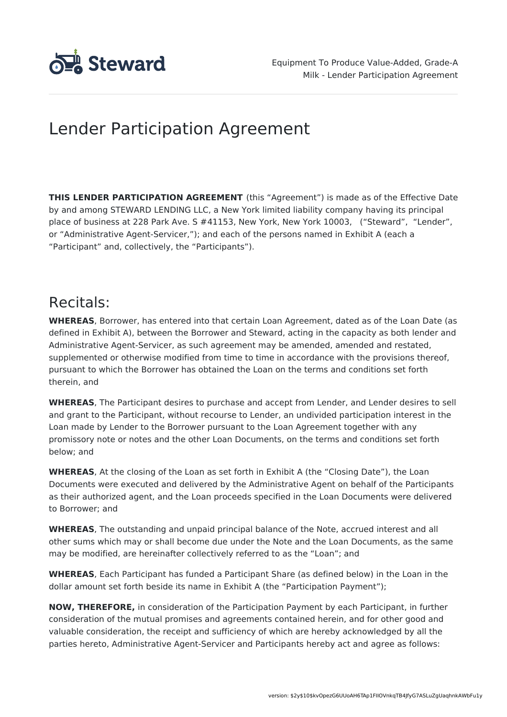

# Lender Participation Agreement

**THIS LENDER PARTICIPATION AGREEMENT** (this "Agreement") is made as of the Effective Date by and among STEWARD LENDING LLC, a New York limited liability company having its principal place of business at 228 Park Ave. S #41153, New York, New York 10003, ("Steward", "Lender", or "Administrative Agent-Servicer,"); and each of the persons named in Exhibit A (each a "Participant" and, collectively, the "Participants").

## Recitals:

**WHEREAS**, Borrower, has entered into that certain Loan Agreement, dated as of the Loan Date (as defined in Exhibit A), between the Borrower and Steward, acting in the capacity as both lender and Administrative Agent-Servicer, as such agreement may be amended, amended and restated, supplemented or otherwise modified from time to time in accordance with the provisions thereof, pursuant to which the Borrower has obtained the Loan on the terms and conditions set forth therein, and

**WHEREAS**, The Participant desires to purchase and accept from Lender, and Lender desires to sell and grant to the Participant, without recourse to Lender, an undivided participation interest in the Loan made by Lender to the Borrower pursuant to the Loan Agreement together with any promissory note or notes and the other Loan Documents, on the terms and conditions set forth below; and

**WHEREAS**, At the closing of the Loan as set forth in Exhibit A (the "Closing Date"), the Loan Documents were executed and delivered by the Administrative Agent on behalf of the Participants as their authorized agent, and the Loan proceeds specified in the Loan Documents were delivered to Borrower; and

**WHEREAS**, The outstanding and unpaid principal balance of the Note, accrued interest and all other sums which may or shall become due under the Note and the Loan Documents, as the same may be modified, are hereinafter collectively referred to as the "Loan"; and

**WHEREAS**, Each Participant has funded a Participant Share (as defined below) in the Loan in the dollar amount set forth beside its name in Exhibit A (the "Participation Payment");

**NOW, THEREFORE,** in consideration of the Participation Payment by each Participant, in further consideration of the mutual promises and agreements contained herein, and for other good and valuable consideration, the receipt and sufficiency of which are hereby acknowledged by all the parties hereto, Administrative Agent-Servicer and Participants hereby act and agree as follows: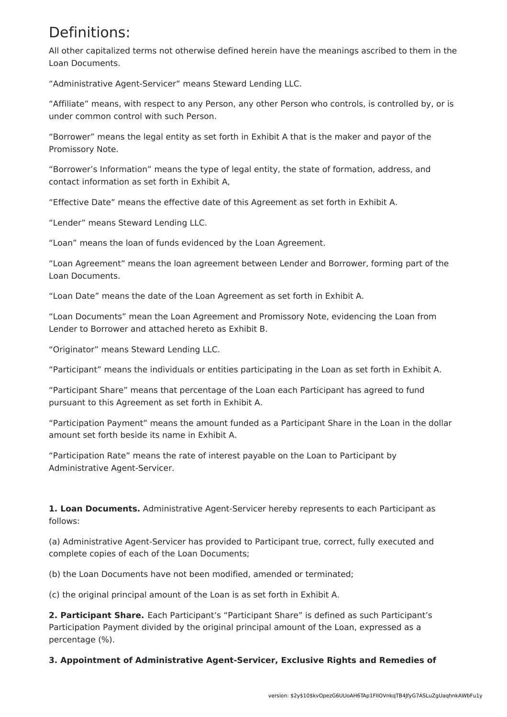## Definitions:

All other capitalized terms not otherwise defined herein have the meanings ascribed to them in the Loan Documents.

"Administrative Agent-Servicer" means Steward Lending LLC.

"Affiliate" means, with respect to any Person, any other Person who controls, is controlled by, or is under common control with such Person.

"Borrower" means the legal entity as set forth in Exhibit A that is the maker and payor of the Promissory Note.

"Borrower's Information" means the type of legal entity, the state of formation, address, and contact information as set forth in Exhibit A,

"Effective Date" means the effective date of this Agreement as set forth in Exhibit A.

"Lender" means Steward Lending LLC.

"Loan" means the loan of funds evidenced by the Loan Agreement.

"Loan Agreement" means the loan agreement between Lender and Borrower, forming part of the Loan Documents.

"Loan Date" means the date of the Loan Agreement as set forth in Exhibit A.

"Loan Documents" mean the Loan Agreement and Promissory Note, evidencing the Loan from Lender to Borrower and attached hereto as Exhibit B.

"Originator" means Steward Lending LLC.

"Participant" means the individuals or entities participating in the Loan as set forth in Exhibit A.

"Participant Share" means that percentage of the Loan each Participant has agreed to fund pursuant to this Agreement as set forth in Exhibit A.

"Participation Payment" means the amount funded as a Participant Share in the Loan in the dollar amount set forth beside its name in Exhibit A.

"Participation Rate" means the rate of interest payable on the Loan to Participant by Administrative Agent-Servicer.

**1. Loan Documents.** Administrative Agent-Servicer hereby represents to each Participant as follows:

(a) Administrative Agent-Servicer has provided to Participant true, correct, fully executed and complete copies of each of the Loan Documents;

(b) the Loan Documents have not been modified, amended or terminated;

(c) the original principal amount of the Loan is as set forth in Exhibit A.

**2. Participant Share.** Each Participant's "Participant Share" is defined as such Participant's Participation Payment divided by the original principal amount of the Loan, expressed as a percentage (%).

**3. Appointment of Administrative Agent-Servicer, Exclusive Rights and Remedies of**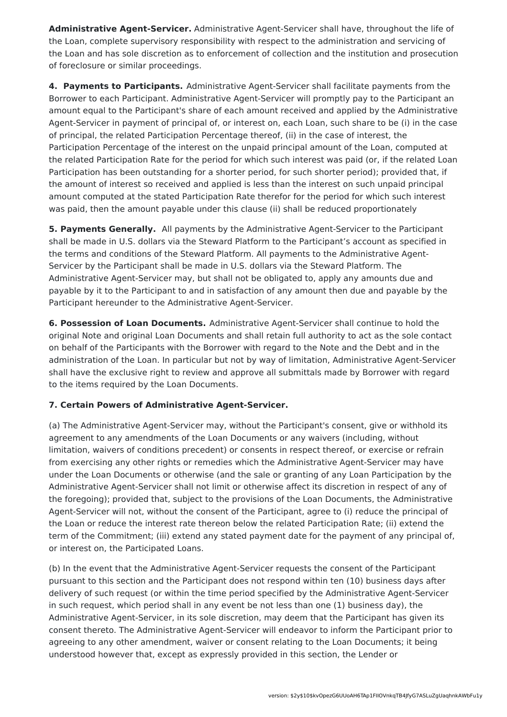**Administrative Agent-Servicer.** Administrative Agent-Servicer shall have, throughout the life of the Loan, complete supervisory responsibility with respect to the administration and servicing of the Loan and has sole discretion as to enforcement of collection and the institution and prosecution of foreclosure or similar proceedings.

**4. Payments to Participants.** Administrative Agent-Servicer shall facilitate payments from the Borrower to each Participant. Administrative Agent-Servicer will promptly pay to the Participant an amount equal to the Participant's share of each amount received and applied by the Administrative Agent-Servicer in payment of principal of, or interest on, each Loan, such share to be (i) in the case of principal, the related Participation Percentage thereof, (ii) in the case of interest, the Participation Percentage of the interest on the unpaid principal amount of the Loan, computed at the related Participation Rate for the period for which such interest was paid (or, if the related Loan Participation has been outstanding for a shorter period, for such shorter period); provided that, if the amount of interest so received and applied is less than the interest on such unpaid principal amount computed at the stated Participation Rate therefor for the period for which such interest was paid, then the amount payable under this clause (ii) shall be reduced proportionately

**5. Payments Generally.** All payments by the Administrative Agent-Servicer to the Participant shall be made in U.S. dollars via the Steward Platform to the Participant's account as specified in the terms and conditions of the Steward Platform. All payments to the Administrative Agent-Servicer by the Participant shall be made in U.S. dollars via the Steward Platform. The Administrative Agent-Servicer may, but shall not be obligated to, apply any amounts due and payable by it to the Participant to and in satisfaction of any amount then due and payable by the Participant hereunder to the Administrative Agent-Servicer.

**6. Possession of Loan Documents.** Administrative Agent-Servicer shall continue to hold the original Note and original Loan Documents and shall retain full authority to act as the sole contact on behalf of the Participants with the Borrower with regard to the Note and the Debt and in the administration of the Loan. In particular but not by way of limitation, Administrative Agent-Servicer shall have the exclusive right to review and approve all submittals made by Borrower with regard to the items required by the Loan Documents.

### **7. Certain Powers of Administrative Agent-Servicer.**

(a) The Administrative Agent-Servicer may, without the Participant's consent, give or withhold its agreement to any amendments of the Loan Documents or any waivers (including, without limitation, waivers of conditions precedent) or consents in respect thereof, or exercise or refrain from exercising any other rights or remedies which the Administrative Agent-Servicer may have under the Loan Documents or otherwise (and the sale or granting of any Loan Participation by the Administrative Agent-Servicer shall not limit or otherwise affect its discretion in respect of any of the foregoing); provided that, subject to the provisions of the Loan Documents, the Administrative Agent-Servicer will not, without the consent of the Participant, agree to (i) reduce the principal of the Loan or reduce the interest rate thereon below the related Participation Rate; (ii) extend the term of the Commitment; (iii) extend any stated payment date for the payment of any principal of, or interest on, the Participated Loans.

(b) In the event that the Administrative Agent-Servicer requests the consent of the Participant pursuant to this section and the Participant does not respond within ten (10) business days after delivery of such request (or within the time period specified by the Administrative Agent-Servicer in such request, which period shall in any event be not less than one (1) business day), the Administrative Agent-Servicer, in its sole discretion, may deem that the Participant has given its consent thereto. The Administrative Agent-Servicer will endeavor to inform the Participant prior to agreeing to any other amendment, waiver or consent relating to the Loan Documents; it being understood however that, except as expressly provided in this section, the Lender or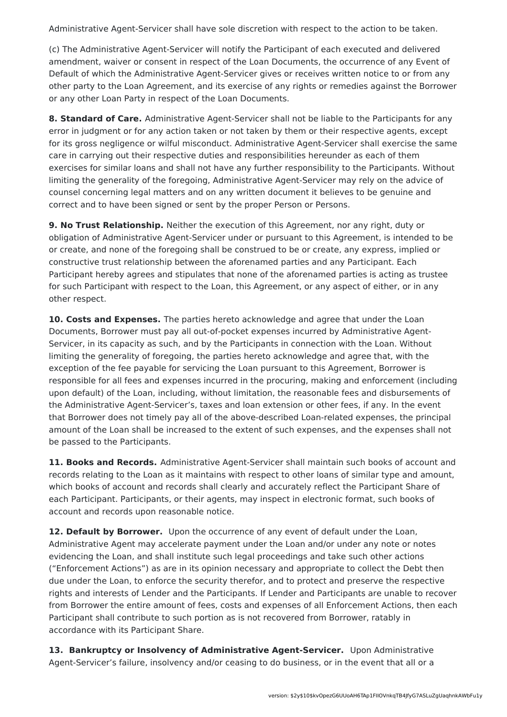Administrative Agent-Servicer shall have sole discretion with respect to the action to be taken.

(c) The Administrative Agent-Servicer will notify the Participant of each executed and delivered amendment, waiver or consent in respect of the Loan Documents, the occurrence of any Event of Default of which the Administrative Agent-Servicer gives or receives written notice to or from any other party to the Loan Agreement, and its exercise of any rights or remedies against the Borrower or any other Loan Party in respect of the Loan Documents.

**8. Standard of Care.** Administrative Agent-Servicer shall not be liable to the Participants for any error in judgment or for any action taken or not taken by them or their respective agents, except for its gross negligence or wilful misconduct. Administrative Agent-Servicer shall exercise the same care in carrying out their respective duties and responsibilities hereunder as each of them exercises for similar loans and shall not have any further responsibility to the Participants. Without limiting the generality of the foregoing, Administrative Agent-Servicer may rely on the advice of counsel concerning legal matters and on any written document it believes to be genuine and correct and to have been signed or sent by the proper Person or Persons.

**9. No Trust Relationship.** Neither the execution of this Agreement, nor any right, duty or obligation of Administrative Agent-Servicer under or pursuant to this Agreement, is intended to be or create, and none of the foregoing shall be construed to be or create, any express, implied or constructive trust relationship between the aforenamed parties and any Participant. Each Participant hereby agrees and stipulates that none of the aforenamed parties is acting as trustee for such Participant with respect to the Loan, this Agreement, or any aspect of either, or in any other respect.

**10. Costs and Expenses.** The parties hereto acknowledge and agree that under the Loan Documents, Borrower must pay all out-of-pocket expenses incurred by Administrative Agent-Servicer, in its capacity as such, and by the Participants in connection with the Loan. Without limiting the generality of foregoing, the parties hereto acknowledge and agree that, with the exception of the fee payable for servicing the Loan pursuant to this Agreement, Borrower is responsible for all fees and expenses incurred in the procuring, making and enforcement (including upon default) of the Loan, including, without limitation, the reasonable fees and disbursements of the Administrative Agent-Servicer's, taxes and loan extension or other fees, if any. In the event that Borrower does not timely pay all of the above-described Loan-related expenses, the principal amount of the Loan shall be increased to the extent of such expenses, and the expenses shall not be passed to the Participants.

**11. Books and Records.** Administrative Agent-Servicer shall maintain such books of account and records relating to the Loan as it maintains with respect to other loans of similar type and amount, which books of account and records shall clearly and accurately reflect the Participant Share of each Participant. Participants, or their agents, may inspect in electronic format, such books of account and records upon reasonable notice.

**12. Default by Borrower.** Upon the occurrence of any event of default under the Loan, Administrative Agent may accelerate payment under the Loan and/or under any note or notes evidencing the Loan, and shall institute such legal proceedings and take such other actions ("Enforcement Actions") as are in its opinion necessary and appropriate to collect the Debt then due under the Loan, to enforce the security therefor, and to protect and preserve the respective rights and interests of Lender and the Participants. If Lender and Participants are unable to recover from Borrower the entire amount of fees, costs and expenses of all Enforcement Actions, then each Participant shall contribute to such portion as is not recovered from Borrower, ratably in accordance with its Participant Share.

**13. Bankruptcy or Insolvency of Administrative Agent-Servicer.** Upon Administrative Agent-Servicer's failure, insolvency and/or ceasing to do business, or in the event that all or a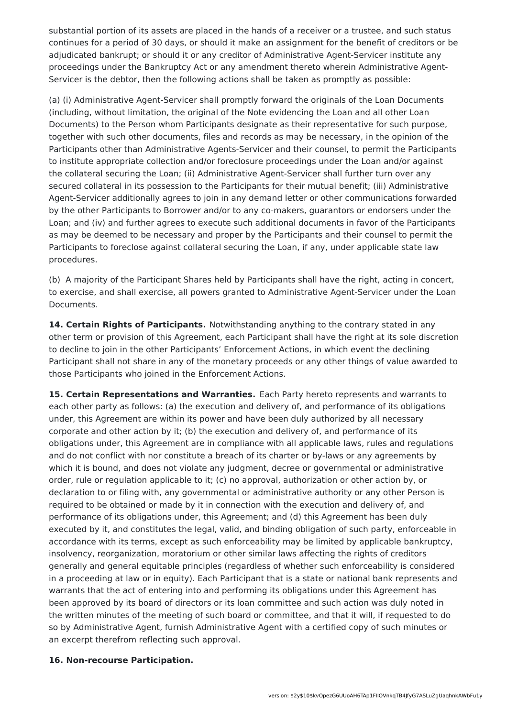substantial portion of its assets are placed in the hands of a receiver or a trustee, and such status continues for a period of 30 days, or should it make an assignment for the benefit of creditors or be adjudicated bankrupt; or should it or any creditor of Administrative Agent-Servicer institute any proceedings under the Bankruptcy Act or any amendment thereto wherein Administrative Agent-Servicer is the debtor, then the following actions shall be taken as promptly as possible:

(a) (i) Administrative Agent-Servicer shall promptly forward the originals of the Loan Documents (including, without limitation, the original of the Note evidencing the Loan and all other Loan Documents) to the Person whom Participants designate as their representative for such purpose, together with such other documents, files and records as may be necessary, in the opinion of the Participants other than Administrative Agents-Servicer and their counsel, to permit the Participants to institute appropriate collection and/or foreclosure proceedings under the Loan and/or against the collateral securing the Loan; (ii) Administrative Agent-Servicer shall further turn over any secured collateral in its possession to the Participants for their mutual benefit; (iii) Administrative Agent-Servicer additionally agrees to join in any demand letter or other communications forwarded by the other Participants to Borrower and/or to any co-makers, guarantors or endorsers under the Loan; and (iv) and further agrees to execute such additional documents in favor of the Participants as may be deemed to be necessary and proper by the Participants and their counsel to permit the Participants to foreclose against collateral securing the Loan, if any, under applicable state law procedures.

(b) A majority of the Participant Shares held by Participants shall have the right, acting in concert, to exercise, and shall exercise, all powers granted to Administrative Agent-Servicer under the Loan Documents.

**14. Certain Rights of Participants.** Notwithstanding anything to the contrary stated in any other term or provision of this Agreement, each Participant shall have the right at its sole discretion to decline to join in the other Participants' Enforcement Actions, in which event the declining Participant shall not share in any of the monetary proceeds or any other things of value awarded to those Participants who joined in the Enforcement Actions.

**15. Certain Representations and Warranties.** Each Party hereto represents and warrants to each other party as follows: (a) the execution and delivery of, and performance of its obligations under, this Agreement are within its power and have been duly authorized by all necessary corporate and other action by it; (b) the execution and delivery of, and performance of its obligations under, this Agreement are in compliance with all applicable laws, rules and regulations and do not conflict with nor constitute a breach of its charter or by-laws or any agreements by which it is bound, and does not violate any judgment, decree or governmental or administrative order, rule or regulation applicable to it; (c) no approval, authorization or other action by, or declaration to or filing with, any governmental or administrative authority or any other Person is required to be obtained or made by it in connection with the execution and delivery of, and performance of its obligations under, this Agreement; and (d) this Agreement has been duly executed by it, and constitutes the legal, valid, and binding obligation of such party, enforceable in accordance with its terms, except as such enforceability may be limited by applicable bankruptcy, insolvency, reorganization, moratorium or other similar laws affecting the rights of creditors generally and general equitable principles (regardless of whether such enforceability is considered in a proceeding at law or in equity). Each Participant that is a state or national bank represents and warrants that the act of entering into and performing its obligations under this Agreement has been approved by its board of directors or its loan committee and such action was duly noted in the written minutes of the meeting of such board or committee, and that it will, if requested to do so by Administrative Agent, furnish Administrative Agent with a certified copy of such minutes or an excerpt therefrom reflecting such approval.

#### **16. Non-recourse Participation.**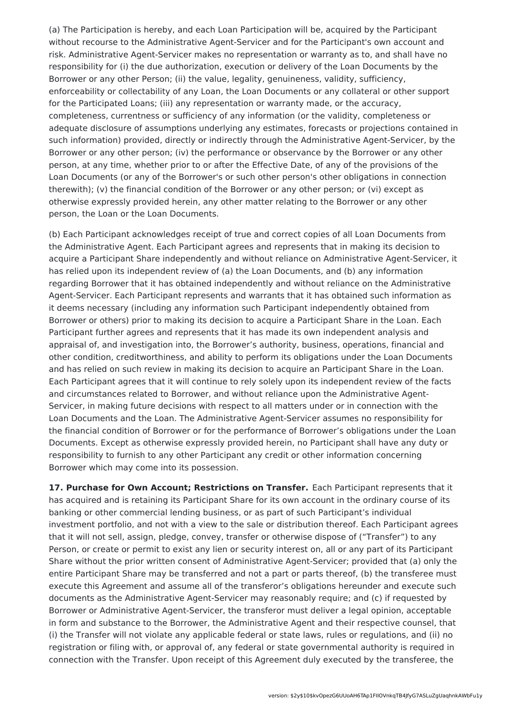(a) The Participation is hereby, and each Loan Participation will be, acquired by the Participant without recourse to the Administrative Agent-Servicer and for the Participant's own account and risk. Administrative Agent-Servicer makes no representation or warranty as to, and shall have no responsibility for (i) the due authorization, execution or delivery of the Loan Documents by the Borrower or any other Person; (ii) the value, legality, genuineness, validity, sufficiency, enforceability or collectability of any Loan, the Loan Documents or any collateral or other support for the Participated Loans; (iii) any representation or warranty made, or the accuracy, completeness, currentness or sufficiency of any information (or the validity, completeness or adequate disclosure of assumptions underlying any estimates, forecasts or projections contained in such information) provided, directly or indirectly through the Administrative Agent-Servicer, by the Borrower or any other person; (iv) the performance or observance by the Borrower or any other person, at any time, whether prior to or after the Effective Date, of any of the provisions of the Loan Documents (or any of the Borrower's or such other person's other obligations in connection therewith); (v) the financial condition of the Borrower or any other person; or (vi) except as otherwise expressly provided herein, any other matter relating to the Borrower or any other person, the Loan or the Loan Documents.

(b) Each Participant acknowledges receipt of true and correct copies of all Loan Documents from the Administrative Agent. Each Participant agrees and represents that in making its decision to acquire a Participant Share independently and without reliance on Administrative Agent-Servicer, it has relied upon its independent review of (a) the Loan Documents, and (b) any information regarding Borrower that it has obtained independently and without reliance on the Administrative Agent-Servicer. Each Participant represents and warrants that it has obtained such information as it deems necessary (including any information such Participant independently obtained from Borrower or others) prior to making its decision to acquire a Participant Share in the Loan. Each Participant further agrees and represents that it has made its own independent analysis and appraisal of, and investigation into, the Borrower's authority, business, operations, financial and other condition, creditworthiness, and ability to perform its obligations under the Loan Documents and has relied on such review in making its decision to acquire an Participant Share in the Loan. Each Participant agrees that it will continue to rely solely upon its independent review of the facts and circumstances related to Borrower, and without reliance upon the Administrative Agent-Servicer, in making future decisions with respect to all matters under or in connection with the Loan Documents and the Loan. The Administrative Agent-Servicer assumes no responsibility for the financial condition of Borrower or for the performance of Borrower's obligations under the Loan Documents. Except as otherwise expressly provided herein, no Participant shall have any duty or responsibility to furnish to any other Participant any credit or other information concerning Borrower which may come into its possession.

**17. Purchase for Own Account; Restrictions on Transfer.** Each Participant represents that it has acquired and is retaining its Participant Share for its own account in the ordinary course of its banking or other commercial lending business, or as part of such Participant's individual investment portfolio, and not with a view to the sale or distribution thereof. Each Participant agrees that it will not sell, assign, pledge, convey, transfer or otherwise dispose of ("Transfer") to any Person, or create or permit to exist any lien or security interest on, all or any part of its Participant Share without the prior written consent of Administrative Agent-Servicer; provided that (a) only the entire Participant Share may be transferred and not a part or parts thereof, (b) the transferee must execute this Agreement and assume all of the transferor's obligations hereunder and execute such documents as the Administrative Agent-Servicer may reasonably require; and (c) if requested by Borrower or Administrative Agent-Servicer, the transferor must deliver a legal opinion, acceptable in form and substance to the Borrower, the Administrative Agent and their respective counsel, that (i) the Transfer will not violate any applicable federal or state laws, rules or regulations, and (ii) no registration or filing with, or approval of, any federal or state governmental authority is required in connection with the Transfer. Upon receipt of this Agreement duly executed by the transferee, the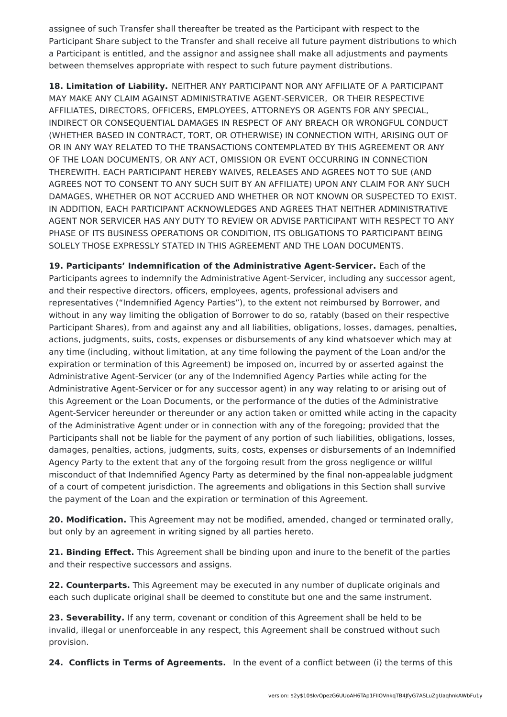assignee of such Transfer shall thereafter be treated as the Participant with respect to the Participant Share subject to the Transfer and shall receive all future payment distributions to which a Participant is entitled, and the assignor and assignee shall make all adjustments and payments between themselves appropriate with respect to such future payment distributions.

**18. Limitation of Liability.** NEITHER ANY PARTICIPANT NOR ANY AFFILIATE OF A PARTICIPANT MAY MAKE ANY CLAIM AGAINST ADMINISTRATIVE AGENT-SERVICER, OR THEIR RESPECTIVE AFFILIATES, DIRECTORS, OFFICERS, EMPLOYEES, ATTORNEYS OR AGENTS FOR ANY SPECIAL, INDIRECT OR CONSEQUENTIAL DAMAGES IN RESPECT OF ANY BREACH OR WRONGFUL CONDUCT (WHETHER BASED IN CONTRACT, TORT, OR OTHERWISE) IN CONNECTION WITH, ARISING OUT OF OR IN ANY WAY RELATED TO THE TRANSACTIONS CONTEMPLATED BY THIS AGREEMENT OR ANY OF THE LOAN DOCUMENTS, OR ANY ACT, OMISSION OR EVENT OCCURRING IN CONNECTION THEREWITH. EACH PARTICIPANT HEREBY WAIVES, RELEASES AND AGREES NOT TO SUE (AND AGREES NOT TO CONSENT TO ANY SUCH SUIT BY AN AFFILIATE) UPON ANY CLAIM FOR ANY SUCH DAMAGES, WHETHER OR NOT ACCRUED AND WHETHER OR NOT KNOWN OR SUSPECTED TO EXIST. IN ADDITION, EACH PARTICIPANT ACKNOWLEDGES AND AGREES THAT NEITHER ADMINISTRATIVE AGENT NOR SERVICER HAS ANY DUTY TO REVIEW OR ADVISE PARTICIPANT WITH RESPECT TO ANY PHASE OF ITS BUSINESS OPERATIONS OR CONDITION, ITS OBLIGATIONS TO PARTICIPANT BEING SOLELY THOSE EXPRESSLY STATED IN THIS AGREEMENT AND THE LOAN DOCUMENTS.

**19. Participants' Indemnification of the Administrative Agent-Servicer.** Each of the Participants agrees to indemnify the Administrative Agent-Servicer, including any successor agent, and their respective directors, officers, employees, agents, professional advisers and representatives ("Indemnified Agency Parties"), to the extent not reimbursed by Borrower, and without in any way limiting the obligation of Borrower to do so, ratably (based on their respective Participant Shares), from and against any and all liabilities, obligations, losses, damages, penalties, actions, judgments, suits, costs, expenses or disbursements of any kind whatsoever which may at any time (including, without limitation, at any time following the payment of the Loan and/or the expiration or termination of this Agreement) be imposed on, incurred by or asserted against the Administrative Agent-Servicer (or any of the Indemnified Agency Parties while acting for the Administrative Agent-Servicer or for any successor agent) in any way relating to or arising out of this Agreement or the Loan Documents, or the performance of the duties of the Administrative Agent-Servicer hereunder or thereunder or any action taken or omitted while acting in the capacity of the Administrative Agent under or in connection with any of the foregoing; provided that the Participants shall not be liable for the payment of any portion of such liabilities, obligations, losses, damages, penalties, actions, judgments, suits, costs, expenses or disbursements of an Indemnified Agency Party to the extent that any of the forgoing result from the gross negligence or willful misconduct of that Indemnified Agency Party as determined by the final non-appealable judgment of a court of competent jurisdiction. The agreements and obligations in this Section shall survive the payment of the Loan and the expiration or termination of this Agreement.

**20. Modification.** This Agreement may not be modified, amended, changed or terminated orally, but only by an agreement in writing signed by all parties hereto.

**21. Binding Effect.** This Agreement shall be binding upon and inure to the benefit of the parties and their respective successors and assigns.

**22. Counterparts.** This Agreement may be executed in any number of duplicate originals and each such duplicate original shall be deemed to constitute but one and the same instrument.

**23. Severability.** If any term, covenant or condition of this Agreement shall be held to be invalid, illegal or unenforceable in any respect, this Agreement shall be construed without such provision.

**24. Conflicts in Terms of Agreements.** In the event of a conflict between (i) the terms of this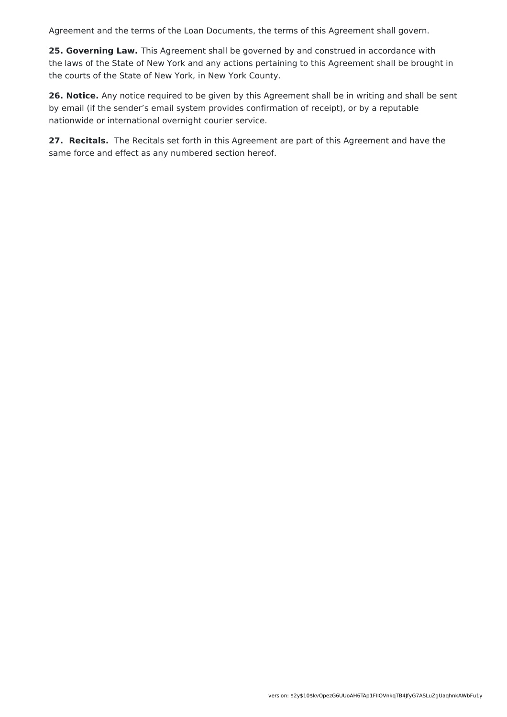Agreement and the terms of the Loan Documents, the terms of this Agreement shall govern.

**25. Governing Law.** This Agreement shall be governed by and construed in accordance with the laws of the State of New York and any actions pertaining to this Agreement shall be brought in the courts of the State of New York, in New York County.

**26. Notice.** Any notice required to be given by this Agreement shall be in writing and shall be sent by email (if the sender's email system provides confirmation of receipt), or by a reputable nationwide or international overnight courier service.

**27. Recitals.** The Recitals set forth in this Agreement are part of this Agreement and have the same force and effect as any numbered section hereof.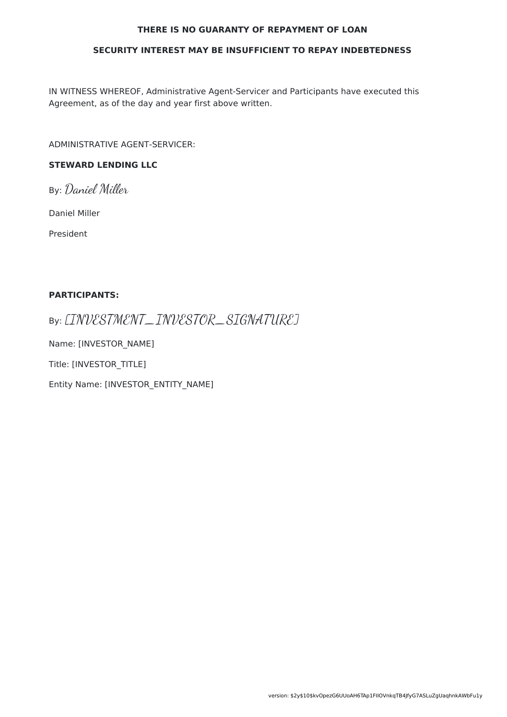#### **THERE IS NO GUARANTY OF REPAYMENT OF LOAN**

#### **SECURITY INTEREST MAY BE INSUFFICIENT TO REPAY INDEBTEDNESS**

IN WITNESS WHEREOF, Administrative Agent-Servicer and Participants have executed this Agreement, as of the day and year first above written.

ADMINISTRATIVE AGENT-SERVICER:

### **STEWARD LENDING LLC**

By: Daniel Miller

Daniel Miller

President

#### **PARTICIPANTS:**

By: [INVESTMENT\_INVESTOR\_SIGNATURE]

Name: [INVESTOR\_NAME]

Title: [INVESTOR\_TITLE]

Entity Name: [INVESTOR\_ENTITY\_NAME]